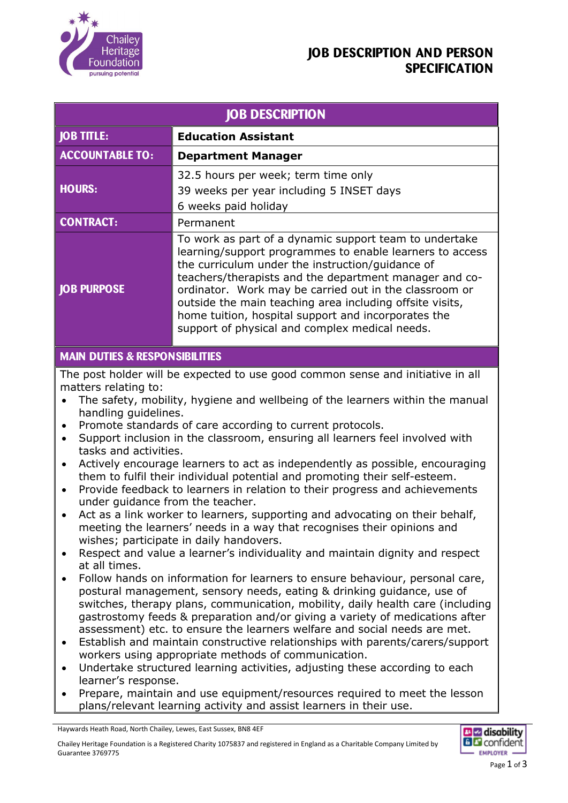

## **JOB DESCRIPTION AND PERSON SPECIFICATION**

| <b>JOB DESCRIPTION</b> |                                                                                                                                                                                                                                                                                                                                                                                                                                                                 |  |
|------------------------|-----------------------------------------------------------------------------------------------------------------------------------------------------------------------------------------------------------------------------------------------------------------------------------------------------------------------------------------------------------------------------------------------------------------------------------------------------------------|--|
| <b>JOB TITLE:</b>      | <b>Education Assistant</b>                                                                                                                                                                                                                                                                                                                                                                                                                                      |  |
| <b>ACCOUNTABLE TO:</b> | <b>Department Manager</b>                                                                                                                                                                                                                                                                                                                                                                                                                                       |  |
| <b>HOURS:</b>          | 32.5 hours per week; term time only<br>39 weeks per year including 5 INSET days<br>6 weeks paid holiday                                                                                                                                                                                                                                                                                                                                                         |  |
| <b>CONTRACT:</b>       | Permanent                                                                                                                                                                                                                                                                                                                                                                                                                                                       |  |
| <b>JOB PURPOSE</b>     | To work as part of a dynamic support team to undertake<br>learning/support programmes to enable learners to access<br>the curriculum under the instruction/quidance of<br>teachers/therapists and the department manager and co-<br>ordinator. Work may be carried out in the classroom or<br>outside the main teaching area including offsite visits,<br>home tuition, hospital support and incorporates the<br>support of physical and complex medical needs. |  |

### **MAIN DUTIES & RESPONSIBILITIES**

The post holder will be expected to use good common sense and initiative in all matters relating to:

- The safety, mobility, hygiene and wellbeing of the learners within the manual handling guidelines.
- Promote standards of care according to current protocols.
- Support inclusion in the classroom, ensuring all learners feel involved with tasks and activities.
- Actively encourage learners to act as independently as possible, encouraging them to fulfil their individual potential and promoting their self-esteem.
- Provide feedback to learners in relation to their progress and achievements under guidance from the teacher.
- Act as a link worker to learners, supporting and advocating on their behalf, meeting the learners' needs in a way that recognises their opinions and wishes; participate in daily handovers.
- Respect and value a learner's individuality and maintain dignity and respect at all times.
- Follow hands on information for learners to ensure behaviour, personal care, postural management, sensory needs, eating & drinking guidance, use of switches, therapy plans, communication, mobility, daily health care (including gastrostomy feeds & preparation and/or giving a variety of medications after assessment) etc. to ensure the learners welfare and social needs are met.
- Establish and maintain constructive relationships with parents/carers/support workers using appropriate methods of communication.
- Undertake structured learning activities, adjusting these according to each learner's response.
- Prepare, maintain and use equipment/resources required to meet the lesson plans/relevant learning activity and assist learners in their use.

Haywards Heath Road, North Chailey, Lewes, East Sussex, BN8 4EF

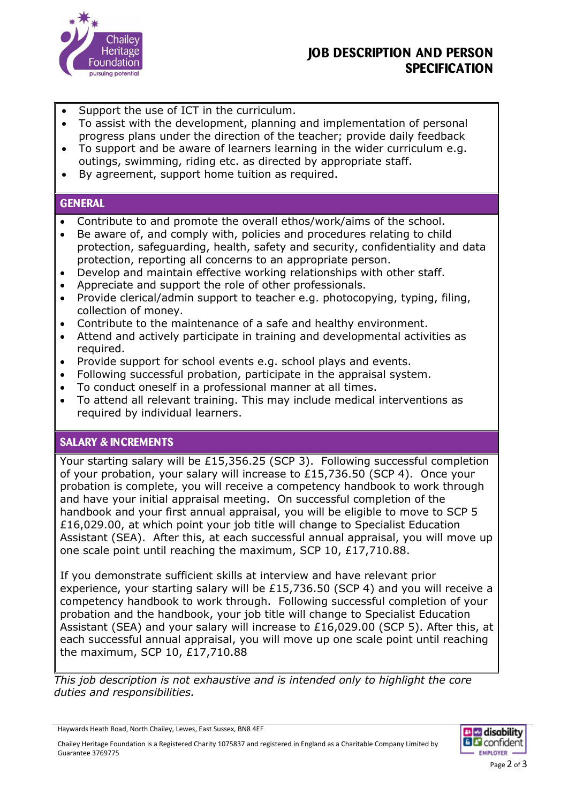

## **JOB DESCRIPTION AND PERSON SPECIFICATION**

- Support the use of ICT in the curriculum.
- To assist with the development, planning and implementation of personal progress plans under the direction of the teacher; provide daily feedback
- To support and be aware of learners learning in the wider curriculum e.g. outings, swimming, riding etc. as directed by appropriate staff.
- By agreement, support home tuition as required.

#### **GENERAL**

- Contribute to and promote the overall ethos/work/aims of the school.
- Be aware of, and comply with, policies and procedures relating to child protection, safeguarding, health, safety and security, confidentiality and data protection, reporting all concerns to an appropriate person.
- Develop and maintain effective working relationships with other staff.
- Appreciate and support the role of other professionals.
- Provide clerical/admin support to teacher e.g. photocopying, typing, filing, collection of money.
- Contribute to the maintenance of a safe and healthy environment.
- Attend and actively participate in training and developmental activities as required.
- Provide support for school events e.g. school plays and events.
- Following successful probation, participate in the appraisal system.
- To conduct oneself in a professional manner at all times.
- To attend all relevant training. This may include medical interventions as required by individual learners.

#### **SALARY & INCREMENTS**

Your starting salary will be £15,356.25 (SCP 3). Following successful completion of your probation, your salary will increase to £15,736.50 (SCP 4). Once your probation is complete, you will receive a competency handbook to work through and have your initial appraisal meeting. On successful completion of the handbook and your first annual appraisal, you will be eligible to move to SCP 5 £16,029.00, at which point your job title will change to Specialist Education Assistant (SEA). After this, at each successful annual appraisal, you will move up one scale point until reaching the maximum, SCP 10, £17,710.88.

If you demonstrate sufficient skills at interview and have relevant prior experience, your starting salary will be £15,736.50 (SCP 4) and you will receive a competency handbook to work through. Following successful completion of your probation and the handbook, your job title will change to Specialist Education Assistant (SEA) and your salary will increase to £16,029.00 (SCP 5). After this, at each successful annual appraisal, you will move up one scale point until reaching the maximum, SCP 10, £17,710.88

*This job description is not exhaustive and is intended only to highlight the core duties and responsibilities.*

Chailey Heritage Foundation is a Registered Charity 1075837 and registered in England as a Charitable Company Limited by Guarantee 3769775



Haywards Heath Road, North Chailey, Lewes, East Sussex, BN8 4EF